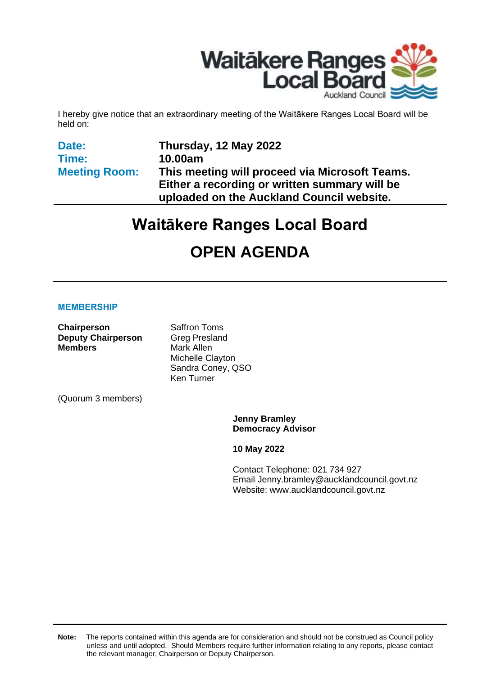

I hereby give notice that an extraordinary meeting of the Waitākere Ranges Local Board will be held on:

**Date: Time: Meeting Room:** **Thursday, 12 May 2022 10.00am This meeting will proceed via Microsoft Teams. Either a recording or written summary will be uploaded on the Auckland Council website.**

# **Waitākere Ranges Local Board**

# **OPEN AGENDA**

#### **MEMBERSHIP**

**Chairperson** Saffron Toms **Deputy Chairperson** Greg Presland **Members** Mark Allen

Michelle Clayton Sandra Coney, QSO Ken Turner

(Quorum 3 members)

**Jenny Bramley Democracy Advisor**

**10 May 2022**

Contact Telephone: 021 734 927 Email: Jenny.bramley@aucklandcouncil.govt.nz Website: www.aucklandcouncil.govt.nz

**Note:** The reports contained within this agenda are for consideration and should not be construed as Council policy unless and until adopted. Should Members require further information relating to any reports, please contact the relevant manager, Chairperson or Deputy Chairperson.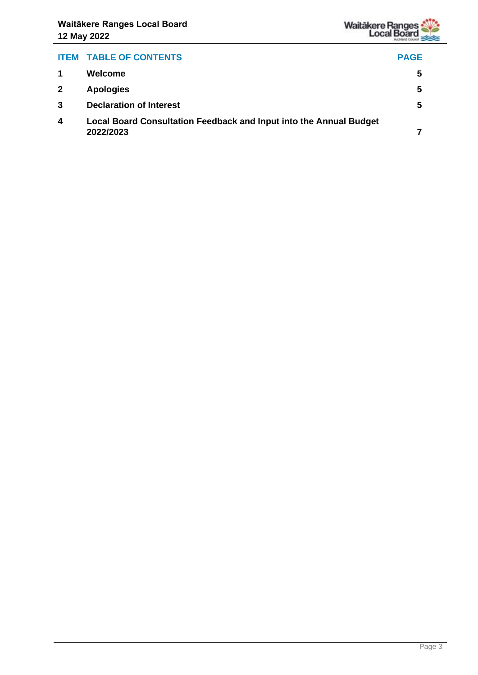

# **ITEM TABLE OF CONTENTS PAGE 1 Welcome [5](#page-4-0) 2 Apologies [5](#page-4-1) 3 Declaration of Interest [5](#page-4-2) 4 Local Board Consultation Feedback and Input into the Annual Budget 2022/2023 [7](#page-6-0)**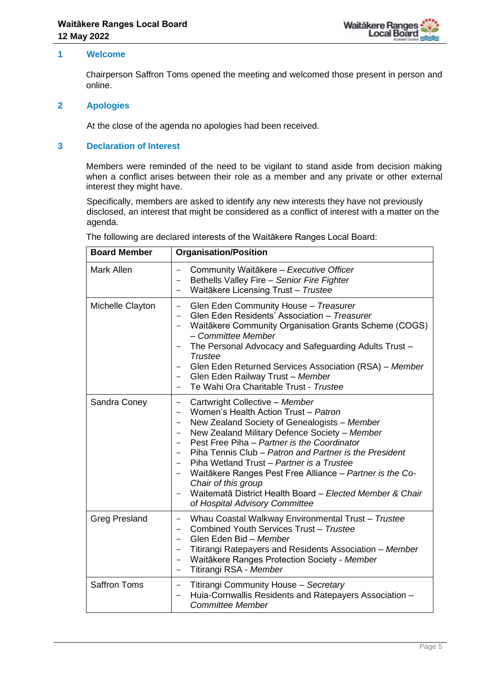

#### <span id="page-4-0"></span>**1 Welcome**

Chairperson Saffron Toms opened the meeting and welcomed those present in person and online.

#### <span id="page-4-1"></span>**2 Apologies**

At the close of the agenda no apologies had been received.

#### <span id="page-4-2"></span>**3 Declaration of Interest**

Members were reminded of the need to be vigilant to stand aside from decision making when a conflict arises between their role as a member and any private or other external interest they might have.

Specifically, members are asked to identify any new interests they have not previously disclosed, an interest that might be considered as a conflict of interest with a matter on the agenda.

| <b>Board Member</b>  | <b>Organisation/Position</b>                                                                                                                                                                                                                                                                                                                                                                                                                                                                                                                                                                     |
|----------------------|--------------------------------------------------------------------------------------------------------------------------------------------------------------------------------------------------------------------------------------------------------------------------------------------------------------------------------------------------------------------------------------------------------------------------------------------------------------------------------------------------------------------------------------------------------------------------------------------------|
| <b>Mark Allen</b>    | Community Waitākere - Executive Officer<br>Bethells Valley Fire - Senior Fire Fighter<br>Waitākere Licensing Trust - Trustee                                                                                                                                                                                                                                                                                                                                                                                                                                                                     |
| Michelle Clayton     | Glen Eden Community House - Treasurer<br>$\overline{\phantom{0}}$<br>Glen Eden Residents' Association - Treasurer<br>$\overline{\phantom{0}}$<br>Waitākere Community Organisation Grants Scheme (COGS)<br>$\qquad \qquad -$<br>- Committee Member<br>The Personal Advocacy and Safeguarding Adults Trust -<br>Trustee<br>Glen Eden Returned Services Association (RSA) - Member<br>Glen Eden Railway Trust - Member<br>Te Wahi Ora Charitable Trust - Trustee                                                                                                                                    |
| Sandra Coney         | Cartwright Collective - Member<br>$\overline{\phantom{0}}$<br>Women's Health Action Trust - Patron<br>New Zealand Society of Genealogists - Member<br>New Zealand Military Defence Society - Member<br>-<br>Pest Free Piha - Partner is the Coordinator<br>$\overline{\phantom{0}}$<br>Piha Tennis Club - Patron and Partner is the President<br>$\qquad \qquad -$<br>Piha Wetland Trust - Partner is a Trustee<br>Waitākere Ranges Pest Free Alliance - Partner is the Co-<br>Chair of this group<br>Waitematā District Health Board - Elected Member & Chair<br>of Hospital Advisory Committee |
| <b>Greg Presland</b> | Whau Coastal Walkway Environmental Trust - Trustee<br>$\qquad \qquad -$<br>Combined Youth Services Trust - Trustee<br>$\overline{\phantom{0}}$<br>Glen Eden Bid - Member<br>$\overline{\phantom{0}}$<br>Titirangi Ratepayers and Residents Association - Member<br>Waitākere Ranges Protection Society - Member<br>Titirangi RSA - Member                                                                                                                                                                                                                                                        |
| <b>Saffron Toms</b>  | Titirangi Community House - Secretary<br>-<br>Huia-Cornwallis Residents and Ratepayers Association -<br><b>Committee Member</b>                                                                                                                                                                                                                                                                                                                                                                                                                                                                  |

The following are declared interests of the Waitākere Ranges Local Board: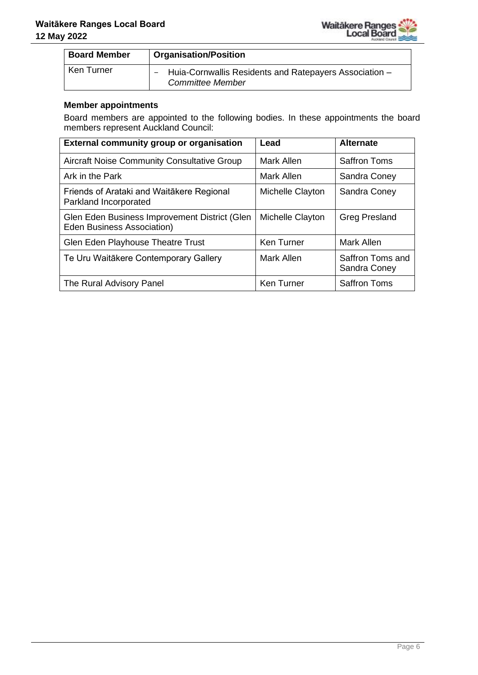

| <b>Board Member</b> | <b>Organisation/Position</b>                                                      |
|---------------------|-----------------------------------------------------------------------------------|
| Ken Turner          | Huia-Cornwallis Residents and Ratepayers Association -<br><b>Committee Member</b> |

#### **Member appointments**

Board members are appointed to the following bodies. In these appointments the board members represent Auckland Council:

| <b>External community group or organisation</b>                                    | Lead             | <b>Alternate</b>                 |
|------------------------------------------------------------------------------------|------------------|----------------------------------|
| <b>Aircraft Noise Community Consultative Group</b>                                 | Mark Allen       | <b>Saffron Toms</b>              |
| Ark in the Park                                                                    | Mark Allen       | Sandra Coney                     |
| Friends of Arataki and Waitākere Regional<br>Parkland Incorporated                 | Michelle Clayton | Sandra Coney                     |
| Glen Eden Business Improvement District (Glen<br><b>Eden Business Association)</b> | Michelle Clayton | <b>Greg Presland</b>             |
| Glen Eden Playhouse Theatre Trust                                                  | Ken Turner       | Mark Allen                       |
| Te Uru Waitākere Contemporary Gallery                                              | Mark Allen       | Saffron Toms and<br>Sandra Coney |
| The Rural Advisory Panel                                                           | Ken Turner       | <b>Saffron Toms</b>              |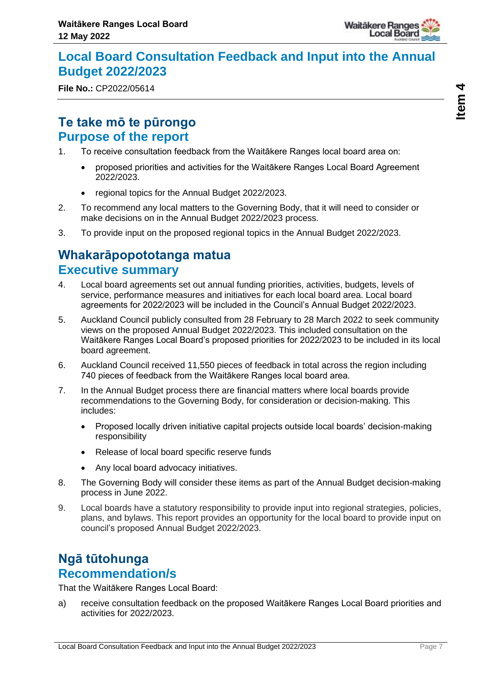

# <span id="page-6-0"></span>**Local Board Consultation Feedback and Input into the Annual Budget 2022/2023**

**File No.:** CP2022/05614

## **Te take mō te pūrongo Purpose of the report**

- 1. To receive consultation feedback from the Waitākere Ranges local board area on:
	- proposed priorities and activities for the Waitākere Ranges Local Board Agreement 2022/2023.
	- regional topics for the Annual Budget 2022/2023.
- 2. To recommend any local matters to the Governing Body, that it will need to consider or make decisions on in the Annual Budget 2022/2023 process.
- 3. To provide input on the proposed regional topics in the Annual Budget 2022/2023.

# **Whakarāpopototanga matua Executive summary**

- 4. Local board agreements set out annual funding priorities, activities, budgets, levels of service, performance measures and initiatives for each local board area. Local board agreements for 2022/2023 will be included in the Council's Annual Budget 2022/2023.
- 5. Auckland Council publicly consulted from 28 February to 28 March 2022 to seek community views on the proposed Annual Budget 2022/2023. This included consultation on the Waitākere Ranges Local Board's proposed priorities for 2022/2023 to be included in its local board agreement.
- 6. Auckland Council received 11,550 pieces of feedback in total across the region including 740 pieces of feedback from the Waitākere Ranges local board area.
- 7. In the Annual Budget process there are financial matters where local boards provide recommendations to the Governing Body, for consideration or decision-making. This includes:
	- Proposed locally driven initiative capital projects outside local boards' decision-making responsibility
	- Release of local board specific reserve funds
	- Any local board advocacy initiatives.
- 8. The Governing Body will consider these items as part of the Annual Budget decision-making process in June 2022.
- 9. Local boards have a statutory responsibility to provide input into regional strategies, policies, plans, and bylaws. This report provides an opportunity for the local board to provide input on council's proposed Annual Budget 2022/2023.

# **Ngā tūtohunga Recommendation/s**

That the Waitākere Ranges Local Board:

a) receive consultation feedback on the proposed Waitākere Ranges Local Board priorities and activities for 2022/2023.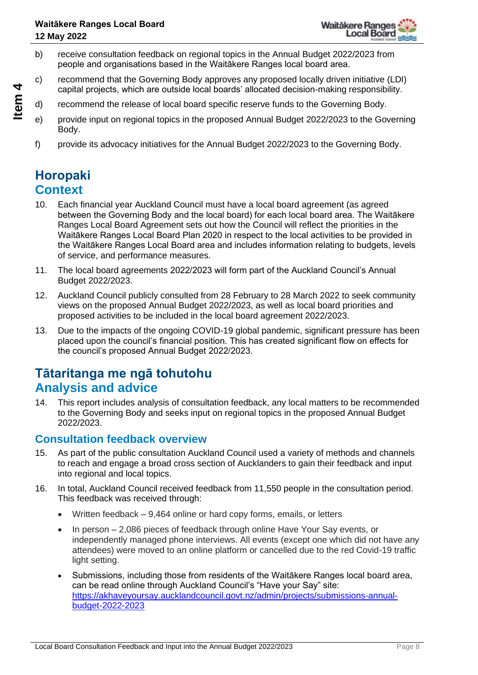- b) receive consultation feedback on regional topics in the Annual Budget 2022/2023 from people and organisations based in the Waitākere Ranges local board area.
- c) recommend that the Governing Body approves any proposed locally driven initiative (LDI) capital projects, which are outside local boards' allocated decision-making responsibility.
- d) recommend the release of local board specific reserve funds to the Governing Body.
- e) provide input on regional topics in the proposed Annual Budget 2022/2023 to the Governing Body.
- f) provide its advocacy initiatives for the Annual Budget 2022/2023 to the Governing Body.

# **Horopaki Context**

- 10. Each financial year Auckland Council must have a local board agreement (as agreed between the Governing Body and the local board) for each local board area. The Waitākere Ranges Local Board Agreement sets out how the Council will reflect the priorities in the Waitākere Ranges Local Board Plan 2020 in respect to the local activities to be provided in the Waitākere Ranges Local Board area and includes information relating to budgets, levels of service, and performance measures.
- 11. The local board agreements 2022/2023 will form part of the Auckland Council's Annual Budget 2022/2023.
- 12. Auckland Council publicly consulted from 28 February to 28 March 2022 to seek community views on the proposed Annual Budget 2022/2023, as well as local board priorities and proposed activities to be included in the local board agreement 2022/2023.
- 13. Due to the impacts of the ongoing COVID-19 global pandemic, significant pressure has been placed upon the council's financial position. This has created significant flow on effects for the council's proposed Annual Budget 2022/2023.

# **Tātaritanga me ngā tohutohu Analysis and advice**

14. This report includes analysis of consultation feedback, any local matters to be recommended to the Governing Body and seeks input on regional topics in the proposed Annual Budget 2022/2023.

### **Consultation feedback overview**

- 15. As part of the public consultation Auckland Council used a variety of methods and channels to reach and engage a broad cross section of Aucklanders to gain their feedback and input into regional and local topics.
- 16. In total, Auckland Council received feedback from 11,550 people in the consultation period. This feedback was received through:
	- Written feedback 9,464 online or hard copy forms, emails, or letters
	- In person 2,086 pieces of feedback through online Have Your Say events, or independently managed phone interviews. All events (except one which did not have any attendees) were moved to an online platform or cancelled due to the red Covid-19 traffic light setting.
	- Submissions, including those from residents of the Waitākere Ranges local board area, can be read online through Auckland Council's "Have your Say" site: [https://akhaveyoursay.aucklandcouncil.govt.nz/admin/projects/submissions-annual](https://akhaveyoursay.aucklandcouncil.govt.nz/admin/projects/submissions-annual-budget-2022-2023)[budget-2022-2023](https://akhaveyoursay.aucklandcouncil.govt.nz/admin/projects/submissions-annual-budget-2022-2023)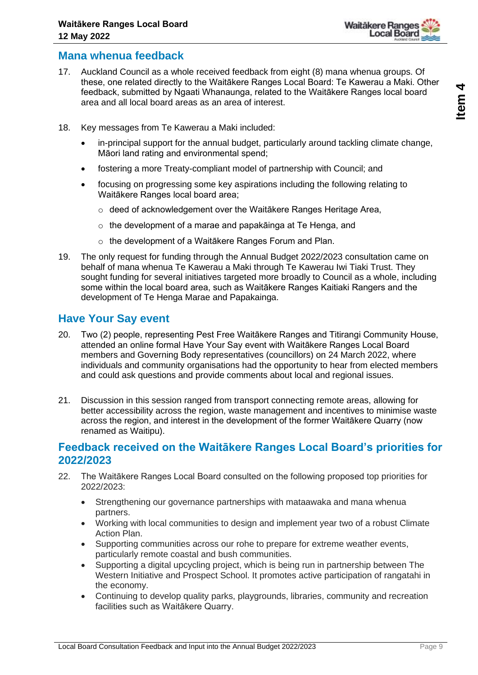

- 17. Auckland Council as a whole received feedback from eight (8) mana whenua groups. Of these, one related directly to the Waitākere Ranges Local Board: Te Kawerau a Maki. Other feedback, submitted by Ngaati Whanaunga, related to the Waitākere Ranges local board area and all local board areas as an area of interest.
- 18. Key messages from Te Kawerau a Maki included:
	- in-principal support for the annual budget, particularly around tackling climate change, Māori land rating and environmental spend;
	- fostering a more Treaty-compliant model of partnership with Council; and
	- focusing on progressing some key aspirations including the following relating to Waitākere Ranges local board area;
		- o deed of acknowledgement over the Waitākere Ranges Heritage Area,
		- o the development of a marae and papakāinga at Te Henga, and
		- o the development of a Waitākere Ranges Forum and Plan.
- 19. The only request for funding through the Annual Budget 2022/2023 consultation came on behalf of mana whenua Te Kawerau a Maki through Te Kawerau Iwi Tiaki Trust. They sought funding for several initiatives targeted more broadly to Council as a whole, including some within the local board area, such as Waitākere Ranges Kaitiaki Rangers and the development of Te Henga Marae and Papakainga.

### **Have Your Say event**

- 20. Two (2) people, representing Pest Free Waitākere Ranges and Titirangi Community House, attended an online formal Have Your Say event with Waitākere Ranges Local Board members and Governing Body representatives (councillors) on 24 March 2022, where individuals and community organisations had the opportunity to hear from elected members and could ask questions and provide comments about local and regional issues.
- 21. Discussion in this session ranged from transport connecting remote areas, allowing for better accessibility across the region, waste management and incentives to minimise waste across the region, and interest in the development of the former Waitākere Quarry (now renamed as Waitipu).

### **Feedback received on the Waitākere Ranges Local Board's priorities for 2022/2023**

- 22. The Waitākere Ranges Local Board consulted on the following proposed top priorities for 2022/2023:
	- Strengthening our governance partnerships with mataawaka and mana whenua partners.
	- Working with local communities to design and implement year two of a robust Climate Action Plan.
	- Supporting communities across our rohe to prepare for extreme weather events, particularly remote coastal and bush communities.
	- Supporting a digital upcycling project, which is being run in partnership between The Western Initiative and Prospect School. It promotes active participation of rangatahi in the economy.
	- Continuing to develop quality parks, playgrounds, libraries, community and recreation facilities such as Waitākere Quarry.

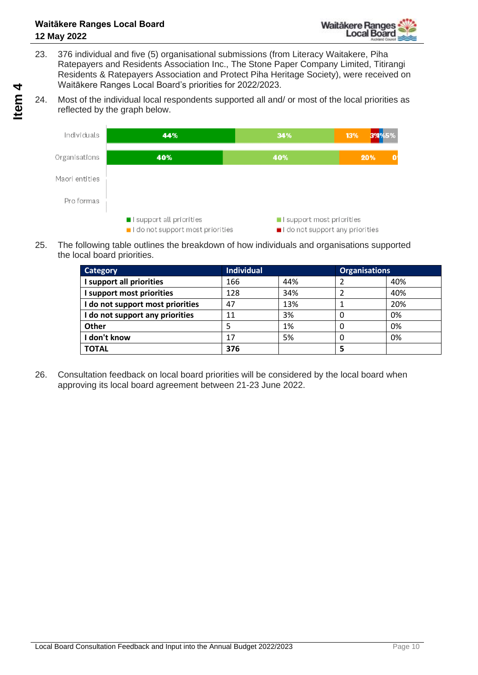- 23. 376 individual and five (5) organisational submissions (from Literacy Waitakere, Piha Ratepayers and Residents Association Inc., The Stone Paper Company Limited, Titirangi Residents & Ratepayers Association and Protect Piha Heritage Society), were received on Waitākere Ranges Local Board's priorities for 2022/2023.
- 24. Most of the individual local respondents supported all and/ or most of the local priorities as reflected by the graph below.



25. The following table outlines the breakdown of how individuals and organisations supported the local board priorities.

| <b>Category</b>                  | <b>Individual</b> |     | <b>Organisations</b> |     |
|----------------------------------|-------------------|-----|----------------------|-----|
| I support all priorities         | 166               | 44% |                      | 40% |
| I support most priorities        | 128               | 34% |                      | 40% |
| I do not support most priorities | 47                | 13% |                      | 20% |
| I do not support any priorities  | 11                | 3%  |                      | 0%  |
| <b>Other</b>                     |                   | 1%  | 0                    | 0%  |
| I don't know                     | 17                | 5%  |                      | 0%  |
| <b>TOTAL</b>                     | 376               |     | 5                    |     |

26. Consultation feedback on local board priorities will be considered by the local board when approving its local board agreement between 21-23 June 2022.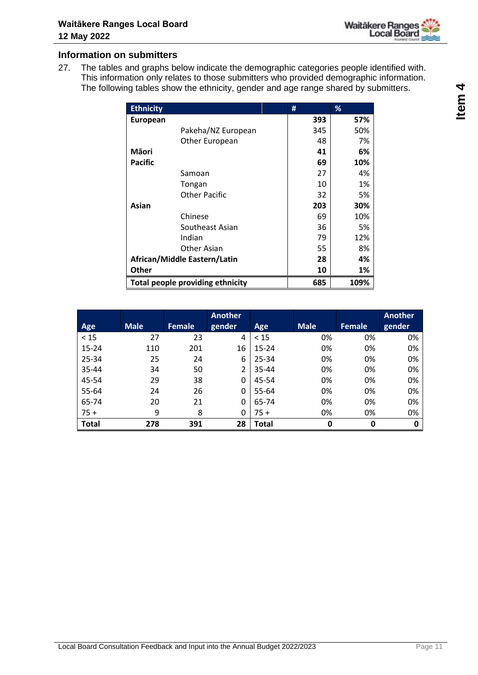

#### **Information on submitters**

27. The tables and graphs below indicate the demographic categories people identified with. This information only relates to those submitters who provided demographic information. The following tables show the ethnicity, gender and age range shared by submitters.

| <b>Ethnicity</b>                 | #   | %    |
|----------------------------------|-----|------|
| <b>European</b>                  | 393 | 57%  |
| Pakeha/NZ European               | 345 | 50%  |
| Other European                   | 48  | 7%   |
| <b>M</b> aori                    | 41  | 6%   |
| <b>Pacific</b>                   | 69  | 10%  |
| Samoan                           | 27  | 4%   |
| Tongan                           | 10  | 1%   |
| Other Pacific                    | 32  | 5%   |
| Asian                            | 203 | 30%  |
| Chinese                          | 69  | 10%  |
| Southeast Asian                  | 36  | 5%   |
| Indian                           | 79  | 12%  |
| Other Asian                      | 55  | 8%   |
| African/Middle Eastern/Latin     | 28  | 4%   |
| <b>Other</b>                     | 10  | 1%   |
| Total people providing ethnicity | 685 | 109% |

|              |             |               | Another |       |             |               | Another |
|--------------|-------------|---------------|---------|-------|-------------|---------------|---------|
| Age          | <b>Male</b> | <b>Female</b> | gender  | Age   | <b>Male</b> | <b>Female</b> | gender  |
| < 15         | 27          | 23            | 4       | < 15  | 0%          | 0%            | 0%      |
| $15 - 24$    | 110         | 201           | 16      | 15-24 | 0%          | 0%            | 0%      |
| 25-34        | 25          | 24            | 6       | 25-34 | 0%          | 0%            | 0%      |
| 35-44        | 34          | 50            | 2       | 35-44 | 0%          | 0%            | 0%      |
| 45-54        | 29          | 38            | 0       | 45-54 | 0%          | 0%            | 0%      |
| 55-64        | 24          | 26            | 0       | 55-64 | 0%          | 0%            | 0%      |
| 65-74        | 20          | 21            | 0       | 65-74 | 0%          | 0%            | 0%      |
| $75 +$       | 9           | 8             | 0       | $75+$ | 0%          | 0%            | 0%      |
| <b>Total</b> | 278         | 391           | 28      | Total | 0           | 0             | 0       |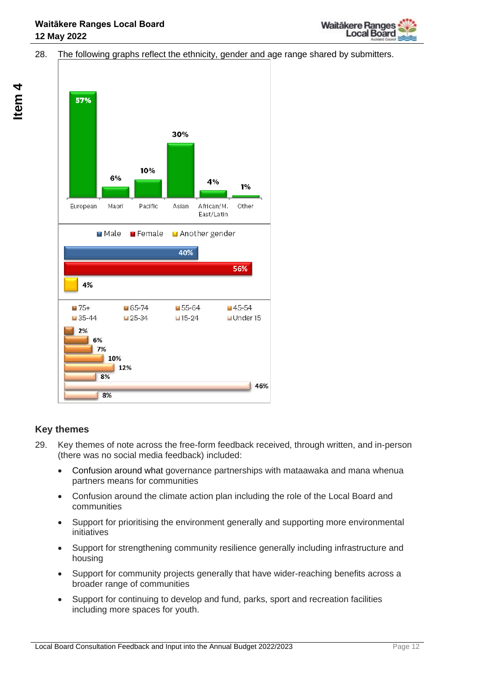

#### 28. The following graphs reflect the ethnicity, gender and age range shared by submitters.



#### **Key themes**

- 29. Key themes of note across the free-form feedback received, through written, and in-person (there was no social media feedback) included:
	- Confusion around what governance partnerships with mataawaka and mana whenua partners means for communities
	- Confusion around the climate action plan including the role of the Local Board and communities
	- Support for prioritising the environment generally and supporting more environmental initiatives
	- Support for strengthening community resilience generally including infrastructure and housing
	- Support for community projects generally that have wider-reaching benefits across a broader range of communities
	- Support for continuing to develop and fund, parks, sport and recreation facilities including more spaces for youth.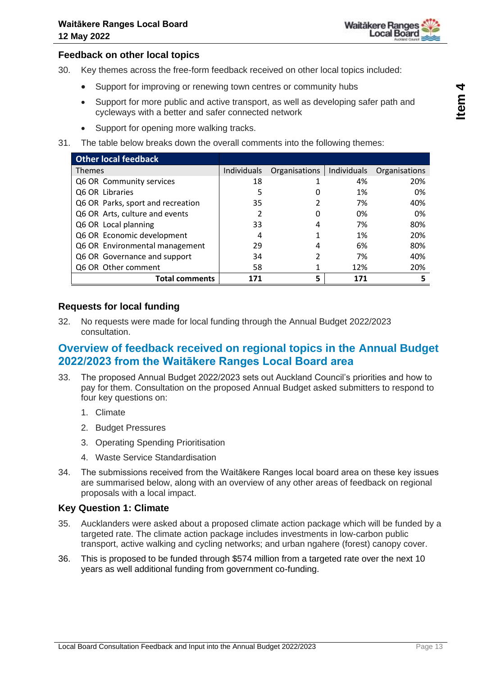#### **Feedback on other local topics**

- 30. Key themes across the free-form feedback received on other local topics included:
	- Support for improving or renewing town centres or community hubs
	- Support for more public and active transport, as well as developing safer path and cycleways with a better and safer connected network
	- Support for opening more walking tracks.
- 31. The table below breaks down the overall comments into the following themes:

| <b>Other local feedback</b>       |             |               |             |               |
|-----------------------------------|-------------|---------------|-------------|---------------|
| <b>Themes</b>                     | Individuals | Organisations | Individuals | Organisations |
| Q6 OR Community services          | 18          |               | 4%          | 20%           |
| Q6 OR Libraries                   | 5           |               | 1%          | 0%            |
| Q6 OR Parks, sport and recreation | 35          |               | 7%          | 40%           |
| Q6 OR Arts, culture and events    | 2           |               | 0%          | 0%            |
| Q6 OR Local planning              | 33          |               | 7%          | 80%           |
| Q6 OR Economic development        | 4           |               | 1%          | 20%           |
| Q6 OR Environmental management    | 29          |               | 6%          | 80%           |
| Q6 OR Governance and support      | 34          |               | 7%          | 40%           |
| Q6 OR Other comment               | 58          |               | 12%         | 20%           |
| <b>Total comments</b>             | 171         | 5             | 171         | 5             |

#### **Requests for local funding**

32. No requests were made for local funding through the Annual Budget 2022/2023 consultation.

### **Overview of feedback received on regional topics in the Annual Budget 2022/2023 from the Waitākere Ranges Local Board area**

- 33. The proposed Annual Budget 2022/2023 sets out Auckland Council's priorities and how to pay for them. Consultation on the proposed Annual Budget asked submitters to respond to four key questions on:
	- 1. Climate
	- 2. Budget Pressures
	- 3. Operating Spending Prioritisation
	- 4. Waste Service Standardisation
- 34. The submissions received from the Waitākere Ranges local board area on these key issues are summarised below, along with an overview of any other areas of feedback on regional proposals with a local impact.

#### **Key Question 1: Climate**

- 35. Aucklanders were asked about a proposed climate action package which will be funded by a targeted rate. The climate action package includes investments in low-carbon public transport, active walking and cycling networks; and urban ngahere (forest) canopy cover.
- 36. This is proposed to be funded through \$574 million from a targeted rate over the next 10 years as well additional funding from government co-funding.

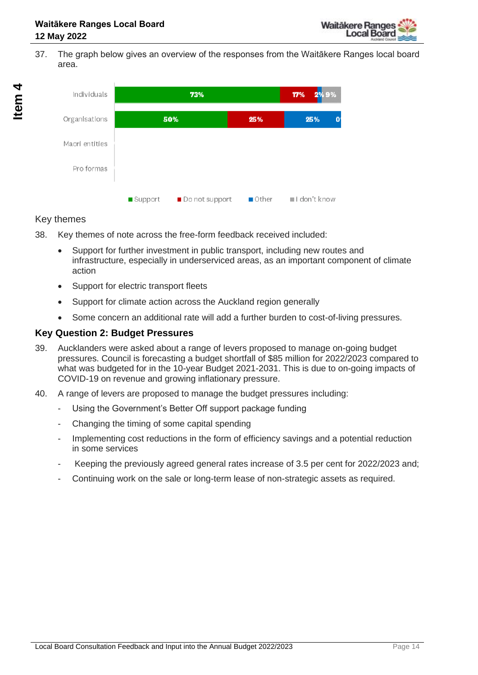37. The graph below gives an overview of the responses from the Waitākere Ranges local board area.



#### Key themes

- 38. Key themes of note across the free-form feedback received included:
	- Support for further investment in public transport, including new routes and infrastructure, especially in underserviced areas, as an important component of climate action
	- Support for electric transport fleets
	- Support for climate action across the Auckland region generally
	- Some concern an additional rate will add a further burden to cost-of-living pressures.

#### **Key Question 2: Budget Pressures**

- 39. Aucklanders were asked about a range of levers proposed to manage on-going budget pressures. Council is forecasting a budget shortfall of \$85 million for 2022/2023 compared to what was budgeted for in the 10-year Budget 2021-2031. This is due to on-going impacts of COVID-19 on revenue and growing inflationary pressure.
- 40. A range of levers are proposed to manage the budget pressures including:
	- Using the Government's Better Off support package funding
	- Changing the timing of some capital spending
	- Implementing cost reductions in the form of efficiency savings and a potential reduction in some services
	- Keeping the previously agreed general rates increase of 3.5 per cent for 2022/2023 and:
	- Continuing work on the sale or long-term lease of non-strategic assets as required.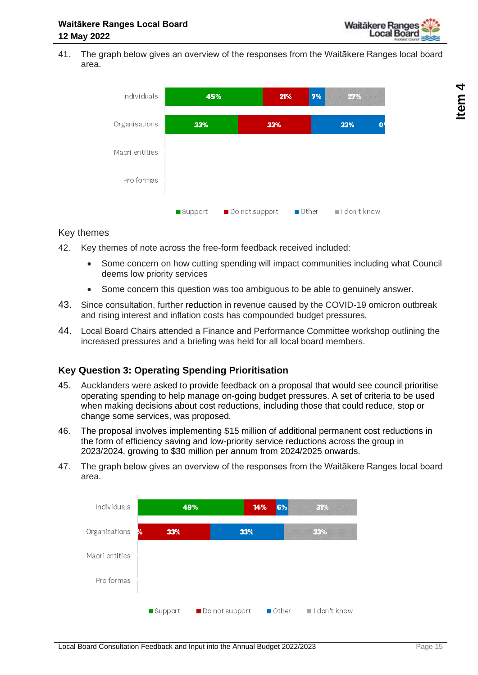

41. The graph below gives an overview of the responses from the Waitākere Ranges local board area.



#### Key themes

- 42. Key themes of note across the free-form feedback received included:
	- Some concern on how cutting spending will impact communities including what Council deems low priority services
	- Some concern this question was too ambiguous to be able to genuinely answer.
- 43. Since consultation, further reduction in revenue caused by the COVID-19 omicron outbreak and rising interest and inflation costs has compounded budget pressures.
- 44. Local Board Chairs attended a Finance and Performance Committee workshop outlining the increased pressures and a briefing was held for all local board members.

#### **Key Question 3: Operating Spending Prioritisation**

- 45. Aucklanders were asked to provide feedback on a proposal that would see council prioritise operating spending to help manage on-going budget pressures. A set of criteria to be used when making decisions about cost reductions, including those that could reduce, stop or change some services, was proposed.
- 46. The proposal involves implementing \$15 million of additional permanent cost reductions in the form of efficiency saving and low-priority service reductions across the group in 2023/2024, growing to \$30 million per annum from 2024/2025 onwards.
- 47. The graph below gives an overview of the responses from the Waitākere Ranges local board area.



**4**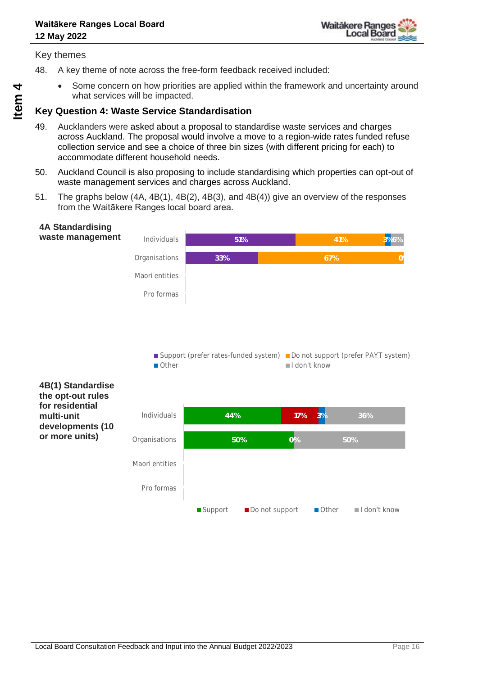

Key themes

- 48. A key theme of note across the free-form feedback received included:
	- Some concern on how priorities are applied within the framework and uncertainty around what services will be impacted.

#### **Key Question 4: Waste Service Standardisation**

- 49. Aucklanders were asked about a proposal to standardise waste services and charges across Auckland. The proposal would involve a move to a region-wide rates funded refuse collection service and see a choice of three bin sizes (with different pricing for each) to accommodate different household needs.
- 50. Auckland Council is also proposing to include standardising which properties can opt-out of waste management services and charges across Auckland.
- 51. The graphs below (4A, 4B(1), 4B(2), 4B(3), and 4B(4)) give an overview of the responses from the Waitākere Ranges local board area.

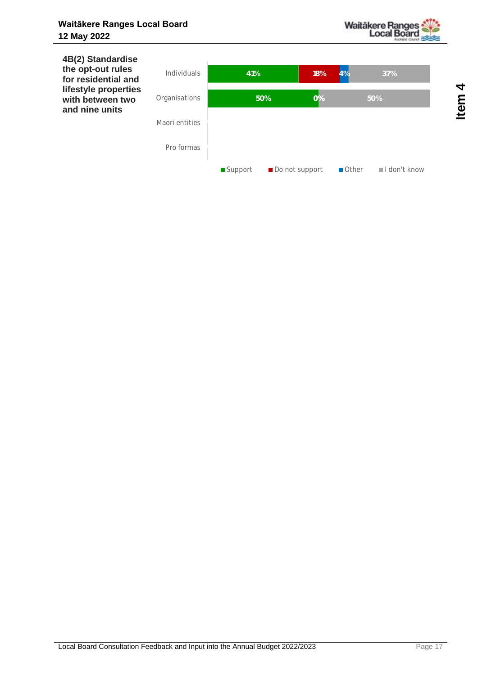

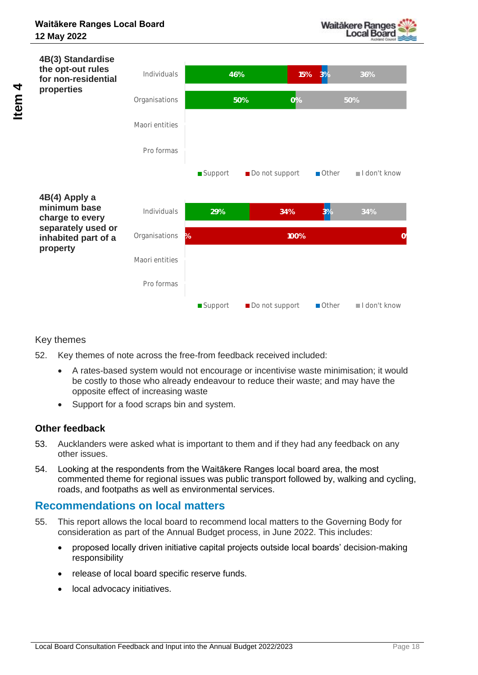



#### Key themes

- 52. Key themes of note across the free-from feedback received included:
	- A rates-based system would not encourage or incentivise waste minimisation; it would be costly to those who already endeavour to reduce their waste; and may have the opposite effect of increasing waste
	- Support for a food scraps bin and system.

#### **Other feedback**

- 53. Aucklanders were asked what is important to them and if they had any feedback on any other issues.
- 54. Looking at the respondents from the Waitākere Ranges local board area, the most commented theme for regional issues was public transport followed by, walking and cycling, roads, and footpaths as well as environmental services.

### **Recommendations on local matters**

- 55. This report allows the local board to recommend local matters to the Governing Body for consideration as part of the Annual Budget process, in June 2022. This includes:
	- proposed locally driven initiative capital projects outside local boards' decision-making responsibility
	- release of local board specific reserve funds.
	- local advocacy initiatives.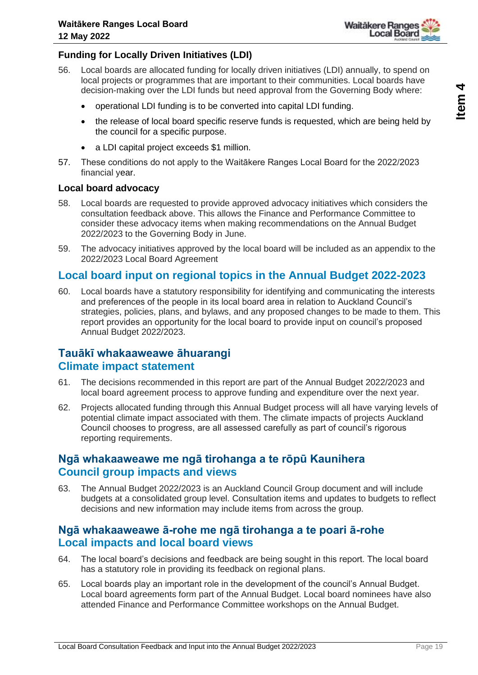

#### **Funding for Locally Driven Initiatives (LDI)**

- 56. Local boards are allocated funding for locally driven initiatives (LDI) annually, to spend on local projects or programmes that are important to their communities. Local boards have decision-making over the LDI funds but need approval from the Governing Body where:
	- operational LDI funding is to be converted into capital LDI funding.
	- the release of local board specific reserve funds is requested, which are being held by the council for a specific purpose.
	- a LDI capital project exceeds \$1 million.
- 57. These conditions do not apply to the Waitākere Ranges Local Board for the 2022/2023 financial year.

#### **Local board advocacy**

- 58. Local boards are requested to provide approved advocacy initiatives which considers the consultation feedback above. This allows the Finance and Performance Committee to consider these advocacy items when making recommendations on the Annual Budget 2022/2023 to the Governing Body in June.
- 59. The advocacy initiatives approved by the local board will be included as an appendix to the 2022/2023 Local Board Agreement

### **Local board input on regional topics in the Annual Budget 2022-2023**

60. Local boards have a statutory responsibility for identifying and communicating the interests and preferences of the people in its local board area in relation to Auckland Council's strategies, policies, plans, and bylaws, and any proposed changes to be made to them. This report provides an opportunity for the local board to provide input on council's proposed Annual Budget 2022/2023.

### **Tauākī whakaaweawe āhuarangi Climate impact statement**

- 61. The decisions recommended in this report are part of the Annual Budget 2022/2023 and local board agreement process to approve funding and expenditure over the next year.
- 62. Projects allocated funding through this Annual Budget process will all have varying levels of potential climate impact associated with them. The climate impacts of projects Auckland Council chooses to progress, are all assessed carefully as part of council's rigorous reporting requirements.

### **Ngā whakaaweawe me ngā tirohanga a te rōpū Kaunihera Council group impacts and views**

63. The Annual Budget 2022/2023 is an Auckland Council Group document and will include budgets at a consolidated group level. Consultation items and updates to budgets to reflect decisions and new information may include items from across the group.

### **Ngā whakaaweawe ā-rohe me ngā tirohanga a te poari ā-rohe Local impacts and local board views**

- 64. The local board's decisions and feedback are being sought in this report. The local board has a statutory role in providing its feedback on regional plans.
- 65. Local boards play an important role in the development of the council's Annual Budget. Local board agreements form part of the Annual Budget. Local board nominees have also attended Finance and Performance Committee workshops on the Annual Budget.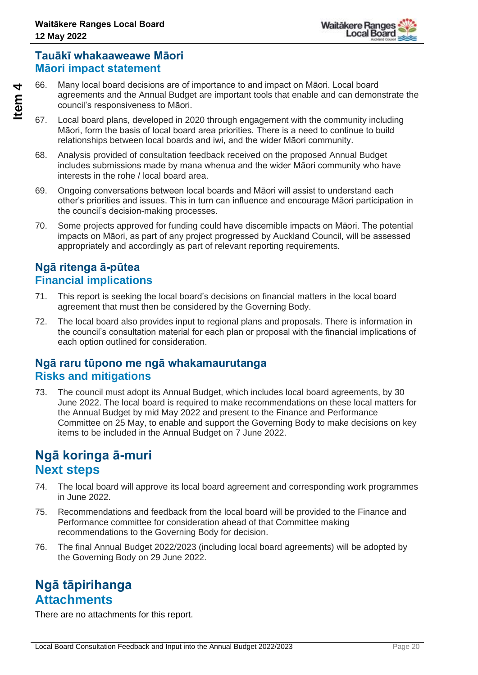### **Tauākī whakaaweawe Māori Māori impact statement**

66. Many local board decisions are of importance to and impact on Māori. Local board agreements and the Annual Budget are important tools that enable and can demonstrate the council's responsiveness to Māori.

- 67. Local board plans, developed in 2020 through engagement with the community including Māori, form the basis of local board area priorities. There is a need to continue to build relationships between local boards and iwi, and the wider Māori community.
- 68. Analysis provided of consultation feedback received on the proposed Annual Budget includes submissions made by mana whenua and the wider Māori community who have interests in the rohe / local board area.
- 69. Ongoing conversations between local boards and Māori will assist to understand each other's priorities and issues. This in turn can influence and encourage Māori participation in the council's decision-making processes.
- 70. Some projects approved for funding could have discernible impacts on Māori. The potential impacts on Māori, as part of any project progressed by Auckland Council, will be assessed appropriately and accordingly as part of relevant reporting requirements.

### **Ngā ritenga ā-pūtea Financial implications**

- 71. This report is seeking the local board's decisions on financial matters in the local board agreement that must then be considered by the Governing Body.
- 72. The local board also provides input to regional plans and proposals. There is information in the council's consultation material for each plan or proposal with the financial implications of each option outlined for consideration.

### **Ngā raru tūpono me ngā whakamaurutanga Risks and mitigations**

73. The council must adopt its Annual Budget, which includes local board agreements, by 30 June 2022. The local board is required to make recommendations on these local matters for the Annual Budget by mid May 2022 and present to the Finance and Performance Committee on 25 May, to enable and support the Governing Body to make decisions on key items to be included in the Annual Budget on 7 June 2022.

# **Ngā koringa ā-muri Next steps**

- 74. The local board will approve its local board agreement and corresponding work programmes in June 2022.
- 75. Recommendations and feedback from the local board will be provided to the Finance and Performance committee for consideration ahead of that Committee making recommendations to the Governing Body for decision.
- 76. The final Annual Budget 2022/2023 (including local board agreements) will be adopted by the Governing Body on 29 June 2022.

# **Ngā tāpirihanga Attachments**

There are no attachments for this report.